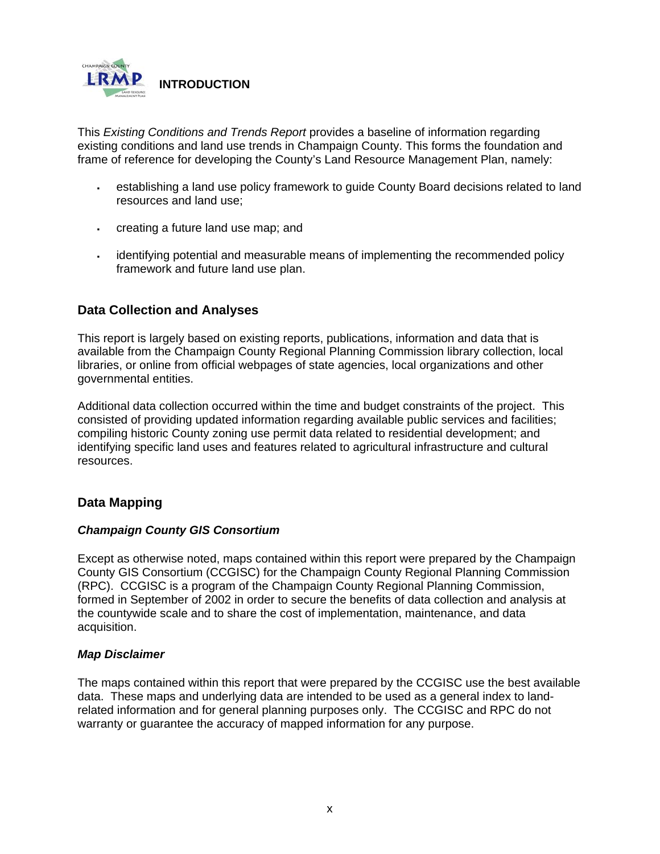

This *Existing Conditions and Trends Report* provides a baseline of information regarding existing conditions and land use trends in Champaign County. This forms the foundation and frame of reference for developing the County's Land Resource Management Plan, namely:

- establishing a land use policy framework to guide County Board decisions related to land resources and land use;
- creating a future land use map; and
- identifying potential and measurable means of implementing the recommended policy framework and future land use plan.

## **Data Collection and Analyses**

This report is largely based on existing reports, publications, information and data that is available from the Champaign County Regional Planning Commission library collection, local libraries, or online from official webpages of state agencies, local organizations and other governmental entities.

Additional data collection occurred within the time and budget constraints of the project. This consisted of providing updated information regarding available public services and facilities; compiling historic County zoning use permit data related to residential development; and identifying specific land uses and features related to agricultural infrastructure and cultural resources.

# **Data Mapping**

#### *Champaign County GIS Consortium*

Except as otherwise noted, maps contained within this report were prepared by the Champaign County GIS Consortium (CCGISC) for the Champaign County Regional Planning Commission (RPC). CCGISC is a program of the Champaign County Regional Planning Commission, formed in September of 2002 in order to secure the benefits of data collection and analysis at the countywide scale and to share the cost of implementation, maintenance, and data acquisition.

#### *Map Disclaimer*

The maps contained within this report that were prepared by the CCGISC use the best available data. These maps and underlying data are intended to be used as a general index to landrelated information and for general planning purposes only. The CCGISC and RPC do not warranty or guarantee the accuracy of mapped information for any purpose.